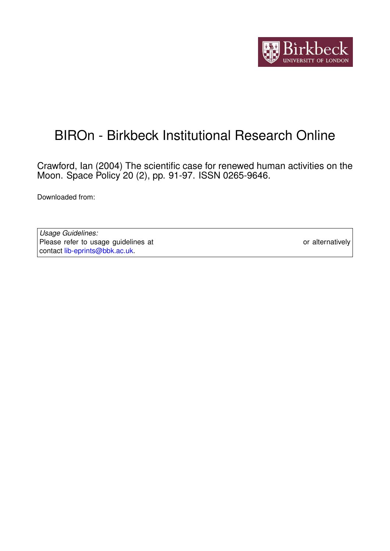

# BIROn - Birkbeck Institutional Research Online

Crawford, Ian (2004) The scientific case for renewed human activities on the Moon. Space Policy 20 (2), pp. 91-97. ISSN 0265-9646.

Downloaded from: <https://eprints.bbk.ac.uk/id/eprint/405/>

*Usage Guidelines:* Please refer to usage guidelines at <https://eprints.bbk.ac.uk/policies.html> or alternatively contact [lib-eprints@bbk.ac.uk.](mailto:lib-eprints@bbk.ac.uk)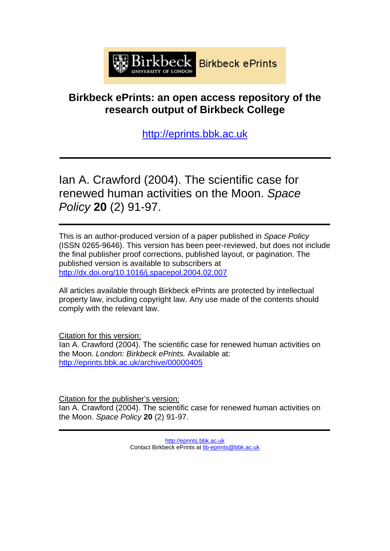

# **Birkbeck ePrints: an open access repository of the research output of Birkbeck College**

[http://eprints.bbk.ac.uk](http://eprints.bbk.ac.uk/)

Ian A. Crawford (2004). The scientific case for renewed human activities on the Moon. *Space Policy* **20** (2) 91-97.

This is an author-produced version of a paper published in *Space Policy* (ISSN 0265-9646). This version has been peer-reviewed, but does not include the final publisher proof corrections, published layout, or pagination. The published version is available to subscribers at http://dx.doi.org[/10.1016/j.spacepol.2004.02.007](http://dx.doi.org/10.1016/j.spacepol.2004.02.007)

All articles available through Birkbeck ePrints are protected by intellectual property law, including copyright law. Any use made of the contents should comply with the relevant law.

Citation for this version: Ian A. Crawford (2004). The scientific case for renewed human activities on the Moon. *London: Birkbeck ePrints.* Available at: <http://eprints.bbk.ac.uk/archive/00000405>

Citation for the publisher's version: Ian A. Crawford (2004). The scientific case for renewed human activities on the Moon. *Space Policy* **20** (2) 91-97.

> [http://eprints.bbk.ac.uk](http://eprints.bbk.ac.uk/) Contact Birkbeck ePrints at [lib-eprints@bbk.ac.uk](mailto:lib-eprints@bbk.ac.uk)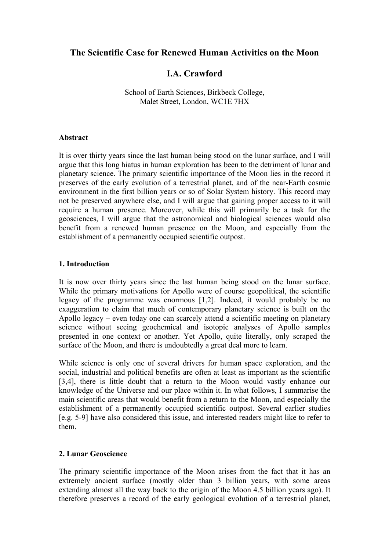### **The Scientific Case for Renewed Human Activities on the Moon**

## **I.A. Crawford**

School of Earth Sciences, Birkbeck College, Malet Street, London, WC1E 7HX

#### **Abstract**

It is over thirty years since the last human being stood on the lunar surface, and I will argue that this long hiatus in human exploration has been to the detriment of lunar and planetary science. The primary scientific importance of the Moon lies in the record it preserves of the early evolution of a terrestrial planet, and of the near-Earth cosmic environment in the first billion years or so of Solar System history. This record may not be preserved anywhere else, and I will argue that gaining proper access to it will require a human presence. Moreover, while this will primarily be a task for the geosciences, I will argue that the astronomical and biological sciences would also benefit from a renewed human presence on the Moon, and especially from the establishment of a permanently occupied scientific outpost.

#### **1. Introduction**

It is now over thirty years since the last human being stood on the lunar surface. While the primary motivations for Apollo were of course geopolitical, the scientific legacy of the programme was enormous [1,2]. Indeed, it would probably be no exaggeration to claim that much of contemporary planetary science is built on the Apollo legacy – even today one can scarcely attend a scientific meeting on planetary science without seeing geochemical and isotopic analyses of Apollo samples presented in one context or another. Yet Apollo, quite literally, only scraped the surface of the Moon, and there is undoubtedly a great deal more to learn.

While science is only one of several drivers for human space exploration, and the social, industrial and political benefits are often at least as important as the scientific [3,4], there is little doubt that a return to the Moon would vastly enhance our knowledge of the Universe and our place within it. In what follows, I summarise the main scientific areas that would benefit from a return to the Moon, and especially the establishment of a permanently occupied scientific outpost. Several earlier studies [e.g. 5-9] have also considered this issue, and interested readers might like to refer to them.

#### **2. Lunar Geoscience**

The primary scientific importance of the Moon arises from the fact that it has an extremely ancient surface (mostly older than 3 billion years, with some areas extending almost all the way back to the origin of the Moon 4.5 billion years ago). It therefore preserves a record of the early geological evolution of a terrestrial planet,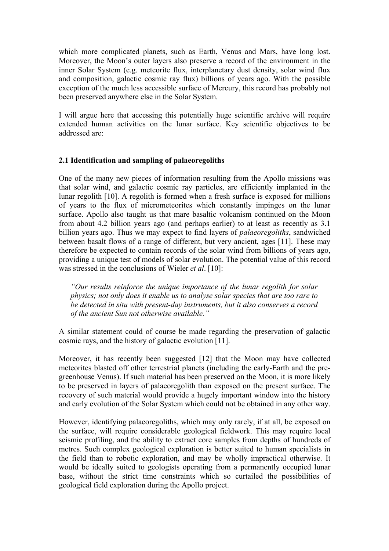which more complicated planets, such as Earth, Venus and Mars, have long lost. Moreover, the Moon's outer layers also preserve a record of the environment in the inner Solar System (e.g. meteorite flux, interplanetary dust density, solar wind flux and composition, galactic cosmic ray flux) billions of years ago. With the possible exception of the much less accessible surface of Mercury, this record has probably not been preserved anywhere else in the Solar System.

I will argue here that accessing this potentially huge scientific archive will require extended human activities on the lunar surface. Key scientific objectives to be addressed are:

#### **2.1 Identification and sampling of palaeoregoliths**

One of the many new pieces of information resulting from the Apollo missions was that solar wind, and galactic cosmic ray particles, are efficiently implanted in the lunar regolith [10]. A regolith is formed when a fresh surface is exposed for millions of years to the flux of micrometeorites which constantly impinges on the lunar surface. Apollo also taught us that mare basaltic volcanism continued on the Moon from about 4.2 billion years ago (and perhaps earlier) to at least as recently as 3.1 billion years ago. Thus we may expect to find layers of *palaeoregoliths*, sandwiched between basalt flows of a range of different, but very ancient, ages [11]. These may therefore be expected to contain records of the solar wind from billions of years ago, providing a unique test of models of solar evolution. The potential value of this record was stressed in the conclusions of Wieler *et al*. [10]:

*"Our results reinforce the unique importance of the lunar regolith for solar physics; not only does it enable us to analyse solar species that are too rare to be detected in situ with present-day instruments, but it also conserves a record of the ancient Sun not otherwise available."* 

A similar statement could of course be made regarding the preservation of galactic cosmic rays, and the history of galactic evolution [11].

Moreover, it has recently been suggested [12] that the Moon may have collected meteorites blasted off other terrestrial planets (including the early-Earth and the pregreenhouse Venus). If such material has been preserved on the Moon, it is more likely to be preserved in layers of palaeoregolith than exposed on the present surface. The recovery of such material would provide a hugely important window into the history and early evolution of the Solar System which could not be obtained in any other way.

However, identifying palaeoregoliths, which may only rarely, if at all, be exposed on the surface, will require considerable geological fieldwork. This may require local seismic profiling, and the ability to extract core samples from depths of hundreds of metres. Such complex geological exploration is better suited to human specialists in the field than to robotic exploration, and may be wholly impractical otherwise. It would be ideally suited to geologists operating from a permanently occupied lunar base, without the strict time constraints which so curtailed the possibilities of geological field exploration during the Apollo project.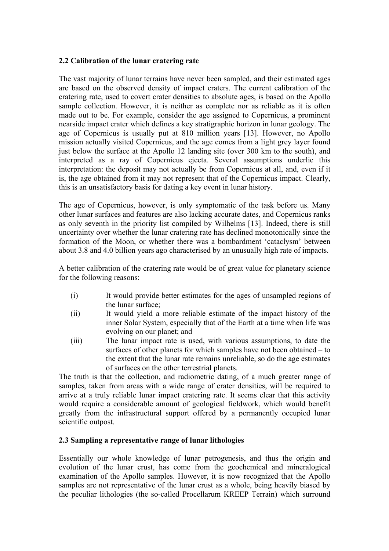#### **2.2 Calibration of the lunar cratering rate**

The vast majority of lunar terrains have never been sampled, and their estimated ages are based on the observed density of impact craters. The current calibration of the cratering rate, used to covert crater densities to absolute ages, is based on the Apollo sample collection. However, it is neither as complete nor as reliable as it is often made out to be. For example, consider the age assigned to Copernicus, a prominent nearside impact crater which defines a key stratigraphic horizon in lunar geology. The age of Copernicus is usually put at 810 million years [13]. However, no Apollo mission actually visited Copernicus, and the age comes from a light grey layer found just below the surface at the Apollo 12 landing site (over 300 km to the south), and interpreted as a ray of Copernicus ejecta. Several assumptions underlie this interpretation: the deposit may not actually be from Copernicus at all, and, even if it is, the age obtained from it may not represent that of the Copernicus impact. Clearly, this is an unsatisfactory basis for dating a key event in lunar history.

The age of Copernicus, however, is only symptomatic of the task before us. Many other lunar surfaces and features are also lacking accurate dates, and Copernicus ranks as only seventh in the priority list compiled by Wilhelms [13]. Indeed, there is still uncertainty over whether the lunar cratering rate has declined monotonically since the formation of the Moon, or whether there was a bombardment 'cataclysm' between about 3.8 and 4.0 billion years ago characterised by an unusually high rate of impacts.

A better calibration of the cratering rate would be of great value for planetary science for the following reasons:

- (i) It would provide better estimates for the ages of unsampled regions of the lunar surface;
- (ii) It would yield a more reliable estimate of the impact history of the inner Solar System, especially that of the Earth at a time when life was evolving on our planet; and
- (iii) The lunar impact rate is used, with various assumptions, to date the surfaces of other planets for which samples have not been obtained – to the extent that the lunar rate remains unreliable, so do the age estimates of surfaces on the other terrestrial planets.

The truth is that the collection, and radiometric dating, of a much greater range of samples, taken from areas with a wide range of crater densities, will be required to arrive at a truly reliable lunar impact cratering rate. It seems clear that this activity would require a considerable amount of geological fieldwork, which would benefit greatly from the infrastructural support offered by a permanently occupied lunar scientific outpost.

#### **2.3 Sampling a representative range of lunar lithologies**

Essentially our whole knowledge of lunar petrogenesis, and thus the origin and evolution of the lunar crust, has come from the geochemical and mineralogical examination of the Apollo samples. However, it is now recognized that the Apollo samples are not representative of the lunar crust as a whole, being heavily biased by the peculiar lithologies (the so-called Procellarum KREEP Terrain) which surround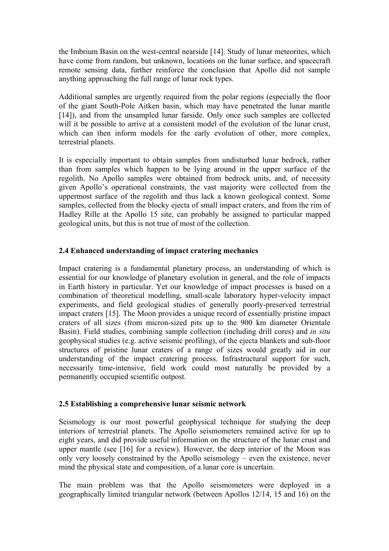the Imbrium Basin on the west-central nearside [14]. Study of lunar meteorites, which have come from random, but unknown, locations on the lunar surface, and spacecraft remote sensing data, further reinforce the conclusion that Apollo did not sample anything approaching the full range of lunar rock types.

Additional samples are urgently required from the polar regions (especially the floor of the giant South-Pole Aitken basin, which may have penetrated the lunar mantle [14]), and from the unsampled lunar farside. Only once such samples are collected will it be possible to arrive at a consistent model of the evolution of the lunar crust, which can then inform models for the early evolution of other, more complex, terrestrial planets.

It is especially important to obtain samples from undisturbed lunar bedrock, rather than from samples which happen to be lying around in the upper surface of the regolith. No Apollo samples were obtained from bedrock units, and, of necessity given Apollo's operational constraints, the vast majority were collected from the uppermost surface of the regolith and thus lack a known geological context. Some samples, collected from the blocky ejecta of small impact craters, and from the rim of Hadley Rille at the Apollo 15 site, can probably be assigned to particular mapped geological units, but this is not true of most of the collection.

#### **2.4 Enhanced understanding of impact cratering mechanics**

Impact cratering is a fundamental planetary process, an understanding of which is essential for our knowledge of planetary evolution in general, and the role of impacts in Earth history in particular. Yet our knowledge of impact processes is based on a combination of theoretical modelling, small-scale laboratory hyper-velocity impact experiments, and field geological studies of generally poorly-preserved terrestrial impact craters [15]. The Moon provides a unique record of essentially pristine impact craters of all sizes (from micron-sized pits up to the 900 km diameter Orientale Basin). Field studies, combining sample collection (including drill cores) and *in situ* geophysical studies (e.g. active seismic profiling), of the ejecta blankets and sub-floor structures of pristine lunar craters of a range of sizes would greatly aid in our understanding of the impact cratering process. Infrastructural support for such, necessarily time-intensive, field work could most naturally be provided by a permanently occupied scientific outpost.

#### **2.5 Establishing a comprehensive lunar seismic network**

Seismology is our most powerful geophysical technique for studying the deep interiors of terrestrial planets. The Apollo seismometers remained active for up to eight years, and did provide useful information on the structure of the lunar crust and upper mantle (see [16] for a review). However, the deep interior of the Moon was only very loosely constrained by the Apollo seismology – even the existence, never mind the physical state and composition, of a lunar core is uncertain.

The main problem was that the Apollo seismometers were deployed in a geographically limited triangular network (between Apollos 12/14, 15 and 16) on the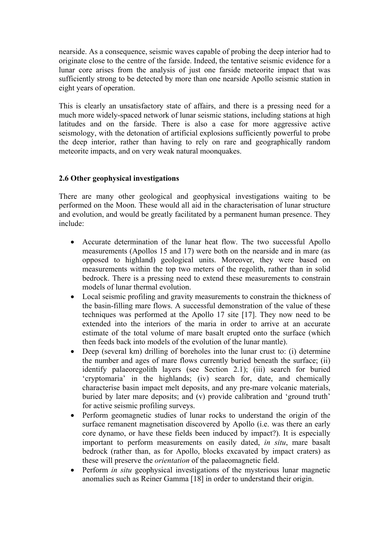nearside. As a consequence, seismic waves capable of probing the deep interior had to originate close to the centre of the farside. Indeed, the tentative seismic evidence for a lunar core arises from the analysis of just one farside meteorite impact that was sufficiently strong to be detected by more than one nearside Apollo seismic station in eight years of operation.

This is clearly an unsatisfactory state of affairs, and there is a pressing need for a much more widely-spaced network of lunar seismic stations, including stations at high latitudes and on the farside. There is also a case for more aggressive active seismology, with the detonation of artificial explosions sufficiently powerful to probe the deep interior, rather than having to rely on rare and geographically random meteorite impacts, and on very weak natural moonquakes.

#### **2.6 Other geophysical investigations**

There are many other geological and geophysical investigations waiting to be performed on the Moon. These would all aid in the characterisation of lunar structure and evolution, and would be greatly facilitated by a permanent human presence. They include:

- Accurate determination of the lunar heat flow. The two successful Apollo measurements (Apollos 15 and 17) were both on the nearside and in mare (as opposed to highland) geological units. Moreover, they were based on measurements within the top two meters of the regolith, rather than in solid bedrock. There is a pressing need to extend these measurements to constrain models of lunar thermal evolution.
- Local seismic profiling and gravity measurements to constrain the thickness of the basin-filling mare flows. A successful demonstration of the value of these techniques was performed at the Apollo 17 site [17]. They now need to be extended into the interiors of the maria in order to arrive at an accurate estimate of the total volume of mare basalt erupted onto the surface (which then feeds back into models of the evolution of the lunar mantle).
- Deep (several km) drilling of boreholes into the lunar crust to: (i) determine the number and ages of mare flows currently buried beneath the surface; (ii) identify palaeoregolith layers (see Section 2.1); (iii) search for buried 'cryptomaria' in the highlands; (iv) search for, date, and chemically characterise basin impact melt deposits, and any pre-mare volcanic materials, buried by later mare deposits; and (v) provide calibration and 'ground truth' for active seismic profiling surveys.
- Perform geomagnetic studies of lunar rocks to understand the origin of the surface remanent magnetisation discovered by Apollo (i.e. was there an early core dynamo, or have these fields been induced by impact?). It is especially important to perform measurements on easily dated, *in situ*, mare basalt bedrock (rather than, as for Apollo, blocks excavated by impact craters) as these will preserve the *orientation* of the palaeomagnetic field.
- Perform *in situ* geophysical investigations of the mysterious lunar magnetic anomalies such as Reiner Gamma [18] in order to understand their origin.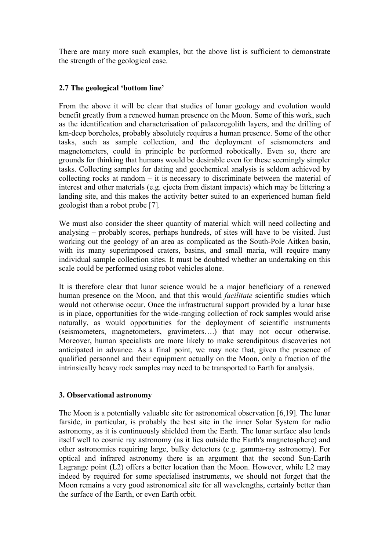There are many more such examples, but the above list is sufficient to demonstrate the strength of the geological case.

#### **2.7 The geological 'bottom line'**

From the above it will be clear that studies of lunar geology and evolution would benefit greatly from a renewed human presence on the Moon. Some of this work, such as the identification and characterisation of palaeoregolith layers, and the drilling of km-deep boreholes, probably absolutely requires a human presence. Some of the other tasks, such as sample collection, and the deployment of seismometers and magnetometers, could in principle be performed robotically. Even so, there are grounds for thinking that humans would be desirable even for these seemingly simpler tasks. Collecting samples for dating and geochemical analysis is seldom achieved by collecting rocks at random – it is necessary to discriminate between the material of interest and other materials (e.g. ejecta from distant impacts) which may be littering a landing site, and this makes the activity better suited to an experienced human field geologist than a robot probe [7].

We must also consider the sheer quantity of material which will need collecting and analysing – probably scores, perhaps hundreds, of sites will have to be visited. Just working out the geology of an area as complicated as the South-Pole Aitken basin, with its many superimposed craters, basins, and small maria, will require many individual sample collection sites. It must be doubted whether an undertaking on this scale could be performed using robot vehicles alone.

It is therefore clear that lunar science would be a major beneficiary of a renewed human presence on the Moon, and that this would *facilitate* scientific studies which would not otherwise occur. Once the infrastructural support provided by a lunar base is in place, opportunities for the wide-ranging collection of rock samples would arise naturally, as would opportunities for the deployment of scientific instruments (seismometers, magnetometers, gravimeters….) that may not occur otherwise. Moreover, human specialists are more likely to make serendipitous discoveries not anticipated in advance. As a final point, we may note that, given the presence of qualified personnel and their equipment actually on the Moon, only a fraction of the intrinsically heavy rock samples may need to be transported to Earth for analysis.

#### **3. Observational astronomy**

The Moon is a potentially valuable site for astronomical observation [6,19]. The lunar farside, in particular, is probably the best site in the inner Solar System for radio astronomy, as it is continuously shielded from the Earth. The lunar surface also lends itself well to cosmic ray astronomy (as it lies outside the Earth's magnetosphere) and other astronomies requiring large, bulky detectors (e.g. gamma-ray astronomy). For optical and infrared astronomy there is an argument that the second Sun-Earth Lagrange point (L2) offers a better location than the Moon. However, while L2 may indeed by required for some specialised instruments, we should not forget that the Moon remains a very good astronomical site for all wavelengths, certainly better than the surface of the Earth, or even Earth orbit.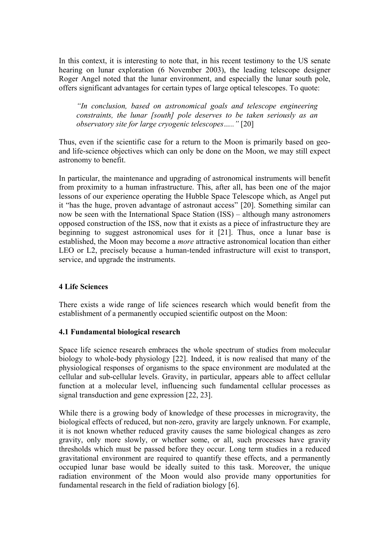In this context, it is interesting to note that, in his recent testimony to the US senate hearing on lunar exploration (6 November 2003), the leading telescope designer Roger Angel noted that the lunar environment, and especially the lunar south pole, offers significant advantages for certain types of large optical telescopes. To quote:

*"In conclusion, based on astronomical goals and telescope engineering constraints, the lunar [south] pole deserves to be taken seriously as an observatory site for large cryogenic telescopes….."* [20]

Thus, even if the scientific case for a return to the Moon is primarily based on geoand life-science objectives which can only be done on the Moon, we may still expect astronomy to benefit.

In particular, the maintenance and upgrading of astronomical instruments will benefit from proximity to a human infrastructure. This, after all, has been one of the major lessons of our experience operating the Hubble Space Telescope which, as Angel put it "has the huge, proven advantage of astronaut access" [20]. Something similar can now be seen with the International Space Station (ISS) – although many astronomers opposed construction of the ISS, now that it exists as a piece of infrastructure they are beginning to suggest astronomical uses for it [21]. Thus, once a lunar base is established, the Moon may become a *more* attractive astronomical location than either LEO or L2, precisely because a human-tended infrastructure will exist to transport, service, and upgrade the instruments.

#### **4 Life Sciences**

There exists a wide range of life sciences research which would benefit from the establishment of a permanently occupied scientific outpost on the Moon:

#### **4.1 Fundamental biological research**

Space life science research embraces the whole spectrum of studies from molecular biology to whole-body physiology [22]. Indeed, it is now realised that many of the physiological responses of organisms to the space environment are modulated at the cellular and sub-cellular levels. Gravity, in particular, appears able to affect cellular function at a molecular level, influencing such fundamental cellular processes as signal transduction and gene expression [22, 23].

While there is a growing body of knowledge of these processes in microgravity, the biological effects of reduced, but non-zero, gravity are largely unknown. For example, it is not known whether reduced gravity causes the same biological changes as zero gravity, only more slowly, or whether some, or all, such processes have gravity thresholds which must be passed before they occur. Long term studies in a reduced gravitational environment are required to quantify these effects, and a permanently occupied lunar base would be ideally suited to this task. Moreover, the unique radiation environment of the Moon would also provide many opportunities for fundamental research in the field of radiation biology [6].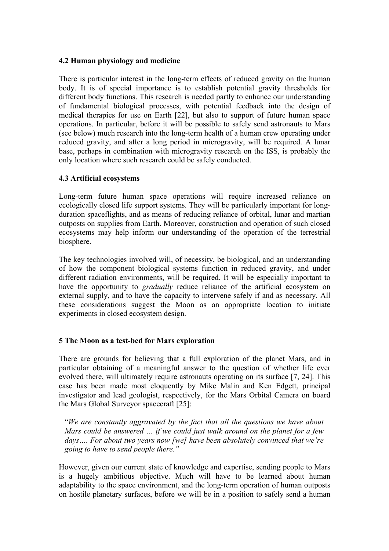#### **4.2 Human physiology and medicine**

There is particular interest in the long-term effects of reduced gravity on the human body. It is of special importance is to establish potential gravity thresholds for different body functions. This research is needed partly to enhance our understanding of fundamental biological processes, with potential feedback into the design of medical therapies for use on Earth [22], but also to support of future human space operations. In particular, before it will be possible to safely send astronauts to Mars (see below) much research into the long-term health of a human crew operating under reduced gravity, and after a long period in microgravity, will be required. A lunar base, perhaps in combination with microgravity research on the ISS, is probably the only location where such research could be safely conducted.

#### **4.3 Artificial ecosystems**

Long-term future human space operations will require increased reliance on ecologically closed life support systems. They will be particularly important for longduration spaceflights, and as means of reducing reliance of orbital, lunar and martian outposts on supplies from Earth. Moreover, construction and operation of such closed ecosystems may help inform our understanding of the operation of the terrestrial biosphere.

The key technologies involved will, of necessity, be biological, and an understanding of how the component biological systems function in reduced gravity, and under different radiation environments, will be required. It will be especially important to have the opportunity to *gradually* reduce reliance of the artificial ecosystem on external supply, and to have the capacity to intervene safely if and as necessary. All these considerations suggest the Moon as an appropriate location to initiate experiments in closed ecosystem design.

#### **5 The Moon as a test-bed for Mars exploration**

There are grounds for believing that a full exploration of the planet Mars, and in particular obtaining of a meaningful answer to the question of whether life ever evolved there, will ultimately require astronauts operating on its surface [7, 24]. This case has been made most eloquently by Mike Malin and Ken Edgett, principal investigator and lead geologist, respectively, for the Mars Orbital Camera on board the Mars Global Surveyor spacecraft [25]:

"*We are constantly aggravated by the fact that all the questions we have about Mars could be answered … if we could just walk around on the planet for a few days…. For about two years now [we] have been absolutely convinced that we're going to have to send people there."* 

However, given our current state of knowledge and expertise, sending people to Mars is a hugely ambitious objective. Much will have to be learned about human adaptability to the space environment, and the long-term operation of human outposts on hostile planetary surfaces, before we will be in a position to safely send a human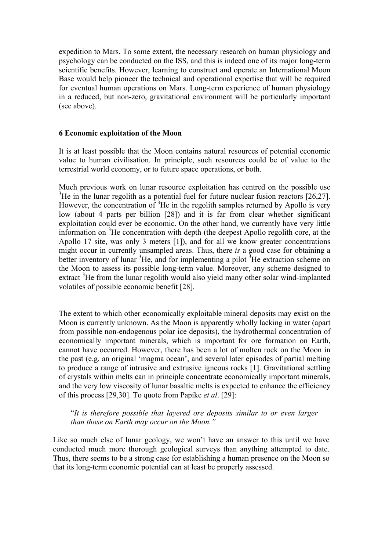expedition to Mars. To some extent, the necessary research on human physiology and psychology can be conducted on the ISS, and this is indeed one of its major long-term scientific benefits. However, learning to construct and operate an International Moon Base would help pioneer the technical and operational expertise that will be required for eventual human operations on Mars. Long-term experience of human physiology in a reduced, but non-zero, gravitational environment will be particularly important (see above).

#### **6 Economic exploitation of the Moon**

It is at least possible that the Moon contains natural resources of potential economic value to human civilisation. In principle, such resources could be of value to the terrestrial world economy, or to future space operations, or both.

Much previous work on lunar resource exploitation has centred on the possible use  $3$ He in the lunar regolith as a potential fuel for future nuclear fusion reactors [26,27]. However, the concentration of  $3$ He in the regolith samples returned by Apollo is very low (about 4 parts per billion [28]) and it is far from clear whether significant exploitation could ever be economic. On the other hand, we currently have very little information on <sup>3</sup>He concentration with depth (the deepest Apollo regolith core, at the Apollo 17 site, was only 3 meters [1]), and for all we know greater concentrations might occur in currently unsampled areas. Thus, there *is* a good case for obtaining a better inventory of lunar  ${}^{3}$ He, and for implementing a pilot  ${}^{3}$ He extraction scheme on the Moon to assess its possible long-term value. Moreover, any scheme designed to extract<sup>3</sup>He from the lunar regolith would also yield many other solar wind-implanted volatiles of possible economic benefit [28].

The extent to which other economically exploitable mineral deposits may exist on the Moon is currently unknown. As the Moon is apparently wholly lacking in water (apart from possible non-endogenous polar ice deposits), the hydrothermal concentration of economically important minerals, which is important for ore formation on Earth, cannot have occurred. However, there has been a lot of molten rock on the Moon in the past (e.g. an original 'magma ocean', and several later episodes of partial melting to produce a range of intrusive and extrusive igneous rocks [1]. Gravitational settling of crystals within melts can in principle concentrate economically important minerals, and the very low viscosity of lunar basaltic melts is expected to enhance the efficiency of this process [29,30]. To quote from Papike *et al*. [29]:

"*It is therefore possible that layered ore deposits similar to or even larger than those on Earth may occur on the Moon."*

Like so much else of lunar geology, we won't have an answer to this until we have conducted much more thorough geological surveys than anything attempted to date. Thus, there seems to be a strong case for establishing a human presence on the Moon so that its long-term economic potential can at least be properly assessed.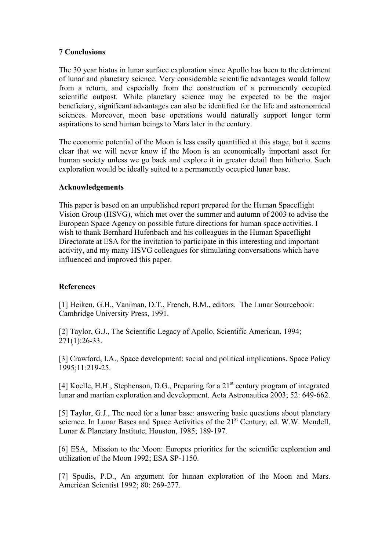#### **7 Conclusions**

The 30 year hiatus in lunar surface exploration since Apollo has been to the detriment of lunar and planetary science. Very considerable scientific advantages would follow from a return, and especially from the construction of a permanently occupied scientific outpost. While planetary science may be expected to be the major beneficiary, significant advantages can also be identified for the life and astronomical sciences. Moreover, moon base operations would naturally support longer term aspirations to send human beings to Mars later in the century.

The economic potential of the Moon is less easily quantified at this stage, but it seems clear that we will never know if the Moon is an economically important asset for human society unless we go back and explore it in greater detail than hitherto. Such exploration would be ideally suited to a permanently occupied lunar base.

#### **Acknowledgements**

This paper is based on an unpublished report prepared for the Human Spaceflight Vision Group (HSVG), which met over the summer and autumn of 2003 to advise the European Space Agency on possible future directions for human space activities. I wish to thank Bernhard Hufenbach and his colleagues in the Human Spaceflight Directorate at ESA for the invitation to participate in this interesting and important activity, and my many HSVG colleagues for stimulating conversations which have influenced and improved this paper.

#### **References**

[1] Heiken, G.H., Vaniman, D.T., French, B.M., editors. The Lunar Sourcebook: Cambridge University Press, 1991.

[2] Taylor, G.J., The Scientific Legacy of Apollo, Scientific American, 1994; 271(1):26-33.

[3] Crawford, I.A., Space development: social and political implications. Space Policy 1995;11:219-25.

[4] Koelle, H.H., Stephenson, D.G., Preparing for a  $21<sup>st</sup>$  century program of integrated lunar and martian exploration and development. Acta Astronautica 2003; 52: 649-662.

[5] Taylor, G.J., The need for a lunar base: answering basic questions about planetary sciemce. In Lunar Bases and Space Activities of the 21<sup>st</sup> Century, ed. W.W. Mendell, Lunar & Planetary Institute, Houston, 1985; 189-197.

[6] ESA, Mission to the Moon: Europes priorities for the scientific exploration and utilization of the Moon 1992; ESA SP-1150.

[7] Spudis, P.D., An argument for human exploration of the Moon and Mars. American Scientist 1992; 80: 269-277.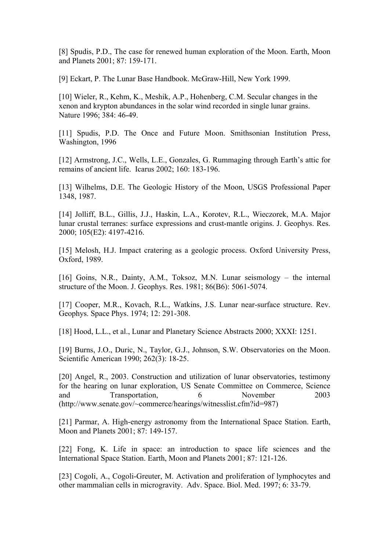[8] Spudis, P.D., The case for renewed human exploration of the Moon. Earth, Moon and Planets 2001; 87: 159-171.

[9] Eckart, P. The Lunar Base Handbook. McGraw-Hill, New York 1999.

[10] Wieler, R., Kehm, K., Meshik, A.P., Hohenberg, C.M. Secular changes in the xenon and krypton abundances in the solar wind recorded in single lunar grains. Nature 1996; 384: 46-49.

[11] Spudis, P.D. The Once and Future Moon. Smithsonian Institution Press, Washington, 1996

[12] Armstrong, J.C., Wells, L.E., Gonzales, G. Rummaging through Earth's attic for remains of ancient life. Icarus 2002; 160: 183-196.

[13] Wilhelms, D.E. The Geologic History of the Moon, USGS Professional Paper 1348, 1987.

[14] Jolliff, B.L., Gillis, J.J., Haskin, L.A., Korotev, R.L., Wieczorek, M.A. Major lunar crustal terranes: surface expressions and crust-mantle origins. J. Geophys. Res. 2000; 105(E2): 4197-4216.

[15] Melosh, H.J. Impact cratering as a geologic process. Oxford University Press, Oxford, 1989.

[16] Goins, N.R., Dainty, A.M., Toksoz, M.N. Lunar seismology – the internal structure of the Moon. J. Geophys. Res. 1981; 86(B6): 5061-5074.

[17] Cooper, M.R., Kovach, R.L., Watkins, J.S. Lunar near-surface structure. Rev. Geophys. Space Phys. 1974; 12: 291-308.

[18] Hood, L.L., et al., Lunar and Planetary Science Abstracts 2000; XXXI: 1251.

[19] Burns, J.O., Duric, N., Taylor, G.J., Johnson, S.W. Observatories on the Moon. Scientific American 1990; 262(3): 18-25.

[20] Angel, R., 2003. Construction and utilization of lunar observatories, testimony for the hearing on lunar exploration, US Senate Committee on Commerce, Science and Transportation, 6 November 2003 (http://www.senate.gov/~commerce/hearings/witnesslist.cfm?id=987)

[21] Parmar, A. High-energy astronomy from the International Space Station. Earth, Moon and Planets 2001; 87: 149-157.

[22] Fong, K. Life in space: an introduction to space life sciences and the International Space Station. Earth, Moon and Planets 2001; 87: 121-126.

[23] Cogoli, A., Cogoli-Greuter, M. Activation and proliferation of lymphocytes and other mammalian cells in microgravity. Adv. Space. Biol. Med. 1997; 6: 33-79.